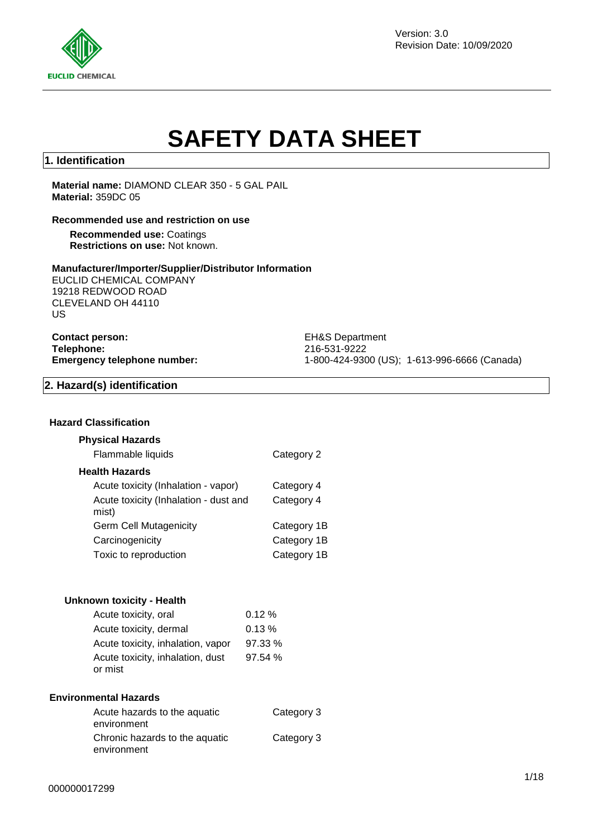

Version: 3.0 Revision Date: 10/09/2020

# **SAFETY DATA SHEET**

## **1. Identification**

**Material name:** DIAMOND CLEAR 350 - 5 GAL PAIL **Material:** 359DC 05

#### **Recommended use and restriction on use**

**Recommended use:** Coatings **Restrictions on use:** Not known.

#### **Manufacturer/Importer/Supplier/Distributor Information**

EUCLID CHEMICAL COMPANY 19218 REDWOOD ROAD CLEVELAND OH 44110 US

**Contact person:** EH&S Department **Telephone:** 216-531-9222

**Emergency telephone number:** 1-800-424-9300 (US); 1-613-996-6666 (Canada)

### **2. Hazard(s) identification**

### **Hazard Classification**

### **Physical Hazards**

| Flammable liquids                              | Category 2  |
|------------------------------------------------|-------------|
| <b>Health Hazards</b>                          |             |
| Acute toxicity (Inhalation - vapor)            | Category 4  |
| Acute toxicity (Inhalation - dust and<br>mist) | Category 4  |
| <b>Germ Cell Mutagenicity</b>                  | Category 1B |
| Carcinogenicity                                | Category 1B |
| Toxic to reproduction                          | Category 1B |

#### **Unknown toxicity - Health**

| Acute toxicity, oral              | 0.12%  |
|-----------------------------------|--------|
| Acute toxicity, dermal            | 0.13%  |
| Acute toxicity, inhalation, vapor | 97.33% |
| Acute toxicity, inhalation, dust  | 97.54% |
| or mist                           |        |

#### **Environmental Hazards**

| Acute hazards to the aquatic<br>environment   | Category 3 |
|-----------------------------------------------|------------|
| Chronic hazards to the aquatic<br>environment | Category 3 |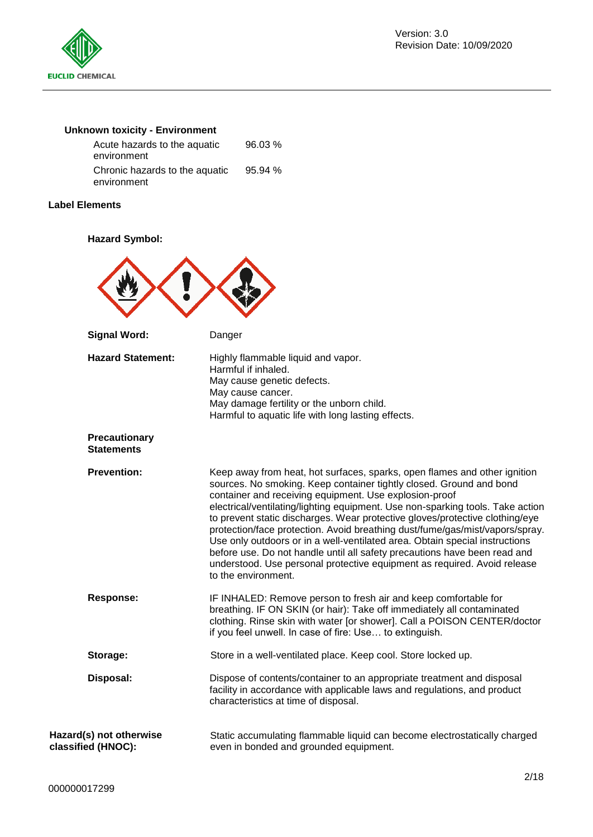

# **Unknown toxicity - Environment**

| Acute hazards to the aquatic   | 96.03%  |
|--------------------------------|---------|
| environment                    |         |
| Chronic hazards to the aquatic | 95.94 % |
| environment                    |         |

### **Label Elements**

### **Hazard Symbol:**

| <b>Signal Word:</b>                           | Danger                                                                                                                                                                                                                                                                                                                                                                                                                                                                                                                                                                                                                                                                                                                      |
|-----------------------------------------------|-----------------------------------------------------------------------------------------------------------------------------------------------------------------------------------------------------------------------------------------------------------------------------------------------------------------------------------------------------------------------------------------------------------------------------------------------------------------------------------------------------------------------------------------------------------------------------------------------------------------------------------------------------------------------------------------------------------------------------|
| <b>Hazard Statement:</b>                      | Highly flammable liquid and vapor.<br>Harmful if inhaled.<br>May cause genetic defects.<br>May cause cancer.<br>May damage fertility or the unborn child.<br>Harmful to aquatic life with long lasting effects.                                                                                                                                                                                                                                                                                                                                                                                                                                                                                                             |
| <b>Precautionary</b><br><b>Statements</b>     |                                                                                                                                                                                                                                                                                                                                                                                                                                                                                                                                                                                                                                                                                                                             |
| <b>Prevention:</b>                            | Keep away from heat, hot surfaces, sparks, open flames and other ignition<br>sources. No smoking. Keep container tightly closed. Ground and bond<br>container and receiving equipment. Use explosion-proof<br>electrical/ventilating/lighting equipment. Use non-sparking tools. Take action<br>to prevent static discharges. Wear protective gloves/protective clothing/eye<br>protection/face protection. Avoid breathing dust/fume/gas/mist/vapors/spray.<br>Use only outdoors or in a well-ventilated area. Obtain special instructions<br>before use. Do not handle until all safety precautions have been read and<br>understood. Use personal protective equipment as required. Avoid release<br>to the environment. |
| <b>Response:</b>                              | IF INHALED: Remove person to fresh air and keep comfortable for<br>breathing. IF ON SKIN (or hair): Take off immediately all contaminated<br>clothing. Rinse skin with water [or shower]. Call a POISON CENTER/doctor<br>if you feel unwell. In case of fire: Use to extinguish.                                                                                                                                                                                                                                                                                                                                                                                                                                            |
| Storage:                                      | Store in a well-ventilated place. Keep cool. Store locked up.                                                                                                                                                                                                                                                                                                                                                                                                                                                                                                                                                                                                                                                               |
| Disposal:                                     | Dispose of contents/container to an appropriate treatment and disposal<br>facility in accordance with applicable laws and regulations, and product<br>characteristics at time of disposal.                                                                                                                                                                                                                                                                                                                                                                                                                                                                                                                                  |
| Hazard(s) not otherwise<br>classified (HNOC): | Static accumulating flammable liquid can become electrostatically charged<br>even in bonded and grounded equipment.                                                                                                                                                                                                                                                                                                                                                                                                                                                                                                                                                                                                         |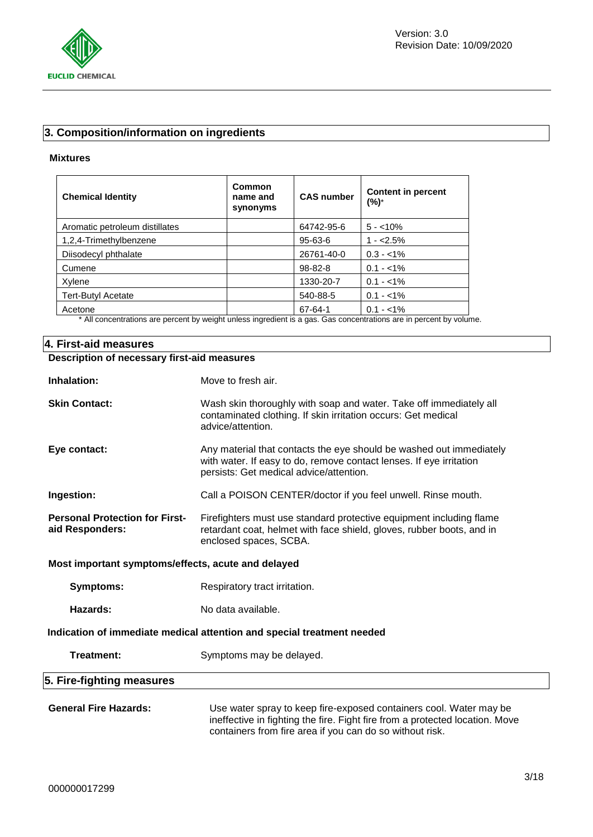

# **3. Composition/information on ingredients**

### **Mixtures**

| <b>Chemical Identity</b>       | Common<br>name and<br>synonyms | <b>CAS number</b> | <b>Content in percent</b><br>(%)* |
|--------------------------------|--------------------------------|-------------------|-----------------------------------|
| Aromatic petroleum distillates |                                | 64742-95-6        | $5 - 10\%$                        |
| 1,2,4-Trimethylbenzene         |                                | 95-63-6           | $1 - 2.5%$                        |
| Diisodecyl phthalate           |                                | 26761-40-0        | $0.3 - 1\%$                       |
| Cumene                         |                                | $98 - 82 - 8$     | $0.1 - 1\%$                       |
| Xylene                         |                                | 1330-20-7         | $0.1 - 1\%$                       |
| <b>Tert-Butyl Acetate</b>      |                                | 540-88-5          | $0.1 - 1\%$                       |
| Acetone                        | .                              | 67-64-1           | $0.1 - 1\%$<br>$\sim$ $\sim$      |

\* All concentrations are percent by weight unless ingredient is a gas. Gas concentrations are in percent by volume.

| 4. First-aid measures                                    |                                                                                                                                                                                                                |  |  |  |
|----------------------------------------------------------|----------------------------------------------------------------------------------------------------------------------------------------------------------------------------------------------------------------|--|--|--|
| Description of necessary first-aid measures              |                                                                                                                                                                                                                |  |  |  |
| Inhalation:                                              | Move to fresh air.                                                                                                                                                                                             |  |  |  |
| <b>Skin Contact:</b>                                     | Wash skin thoroughly with soap and water. Take off immediately all<br>contaminated clothing. If skin irritation occurs: Get medical<br>advice/attention.                                                       |  |  |  |
| Eye contact:                                             | Any material that contacts the eye should be washed out immediately<br>with water. If easy to do, remove contact lenses. If eye irritation<br>persists: Get medical advice/attention.                          |  |  |  |
| Ingestion:                                               | Call a POISON CENTER/doctor if you feel unwell. Rinse mouth.                                                                                                                                                   |  |  |  |
| <b>Personal Protection for First-</b><br>aid Responders: | Firefighters must use standard protective equipment including flame<br>retardant coat, helmet with face shield, gloves, rubber boots, and in<br>enclosed spaces, SCBA.                                         |  |  |  |
| Most important symptoms/effects, acute and delayed       |                                                                                                                                                                                                                |  |  |  |
| <b>Symptoms:</b>                                         | Respiratory tract irritation.                                                                                                                                                                                  |  |  |  |
| Hazards:                                                 | No data available.                                                                                                                                                                                             |  |  |  |
|                                                          | Indication of immediate medical attention and special treatment needed                                                                                                                                         |  |  |  |
| Treatment:                                               | Symptoms may be delayed.                                                                                                                                                                                       |  |  |  |
| 5. Fire-fighting measures                                |                                                                                                                                                                                                                |  |  |  |
| <b>General Fire Hazards:</b>                             | Use water spray to keep fire-exposed containers cool. Water may be<br>ineffective in fighting the fire. Fight fire from a protected location. Move<br>containers from fire area if you can do so without risk. |  |  |  |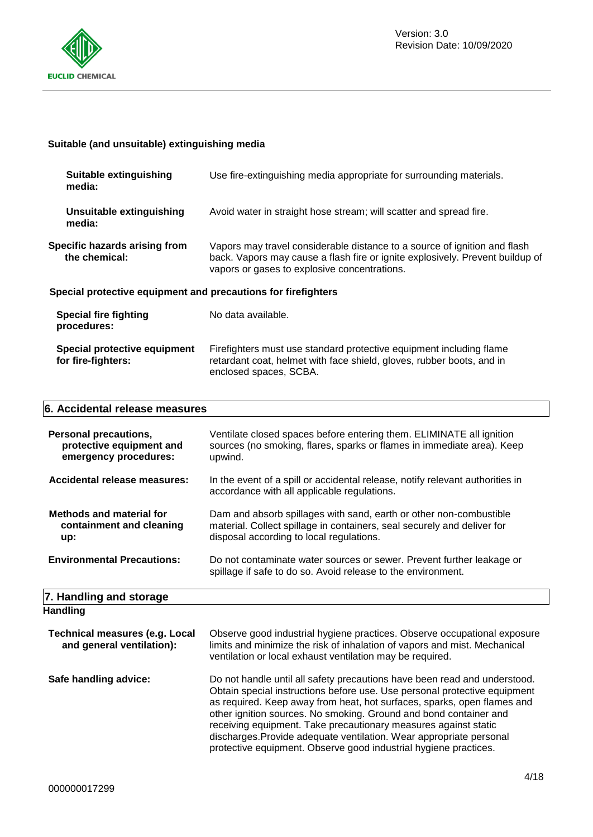

# **Suitable (and unsuitable) extinguishing media**

| <b>Suitable extinguishing</b><br>media:                       | Use fire-extinguishing media appropriate for surrounding materials.                                                                                                                                        |  |  |
|---------------------------------------------------------------|------------------------------------------------------------------------------------------------------------------------------------------------------------------------------------------------------------|--|--|
| Unsuitable extinguishing<br>media:                            | Avoid water in straight hose stream; will scatter and spread fire.                                                                                                                                         |  |  |
| Specific hazards arising from<br>the chemical:                | Vapors may travel considerable distance to a source of ignition and flash<br>back. Vapors may cause a flash fire or ignite explosively. Prevent buildup of<br>vapors or gases to explosive concentrations. |  |  |
| Special protective equipment and precautions for firefighters |                                                                                                                                                                                                            |  |  |
| <b>Special fire fighting</b><br>procedures:                   | No data available.                                                                                                                                                                                         |  |  |
| Special protective equipment<br>for fire-fighters:            | Firefighters must use standard protective equipment including flame<br>retardant coat, helmet with face shield, gloves, rubber boots, and in<br>enclosed spaces, SCBA.                                     |  |  |

### **6. Accidental release measures**

| Personal precautions,<br>protective equipment and<br>emergency procedures: | Ventilate closed spaces before entering them. ELIMINATE all ignition<br>sources (no smoking, flares, sparks or flames in immediate area). Keep<br>upwind.                                 |
|----------------------------------------------------------------------------|-------------------------------------------------------------------------------------------------------------------------------------------------------------------------------------------|
| Accidental release measures:                                               | In the event of a spill or accidental release, notify relevant authorities in<br>accordance with all applicable regulations.                                                              |
| <b>Methods and material for</b><br>containment and cleaning<br>up:         | Dam and absorb spillages with sand, earth or other non-combustible<br>material. Collect spillage in containers, seal securely and deliver for<br>disposal according to local regulations. |
| <b>Environmental Precautions:</b>                                          | Do not contaminate water sources or sewer. Prevent further leakage or<br>spillage if safe to do so. Avoid release to the environment.                                                     |
| 7. Handling and storage                                                    |                                                                                                                                                                                           |
| <b>Handling</b>                                                            |                                                                                                                                                                                           |
| <b>Technical measures (e.g. Local</b><br>and general ventilation):         | Observe good industrial hygiene practices. Observe occupational exposure<br>limits and minimize the risk of inhalation of vapors and mist. Mechanical                                     |

| Safe handling advice: | Do not handle until all safety precautions have been read and understood.<br>Obtain special instructions before use. Use personal protective equipment<br>as required. Keep away from heat, hot surfaces, sparks, open flames and<br>other ignition sources. No smoking. Ground and bond container and<br>receiving equipment. Take precautionary measures against static<br>discharges. Provide adequate ventilation. Wear appropriate personal<br>protective equipment. Observe good industrial hygiene practices. |
|-----------------------|----------------------------------------------------------------------------------------------------------------------------------------------------------------------------------------------------------------------------------------------------------------------------------------------------------------------------------------------------------------------------------------------------------------------------------------------------------------------------------------------------------------------|
|                       |                                                                                                                                                                                                                                                                                                                                                                                                                                                                                                                      |

ventilation or local exhaust ventilation may be required.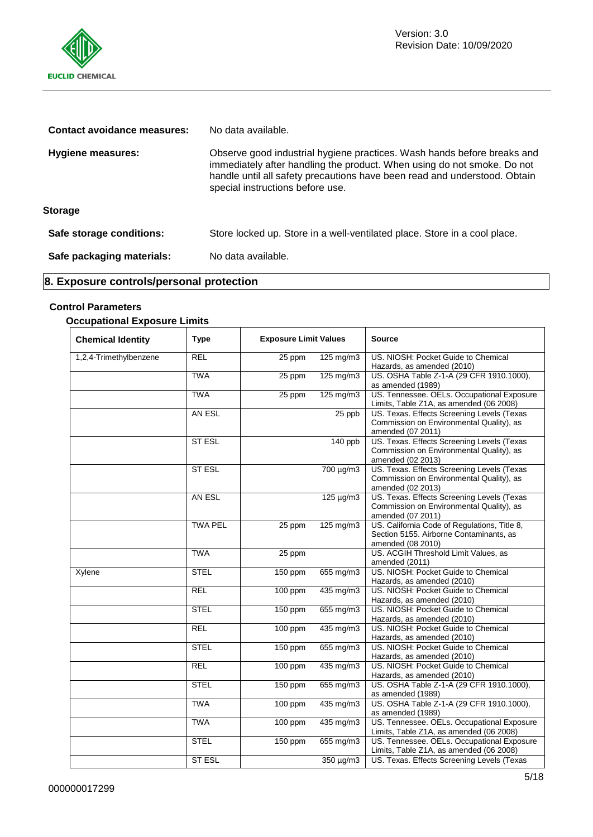

| Contact avoidance measures: | No data available.                                                                                                                                                                                                                                                  |  |
|-----------------------------|---------------------------------------------------------------------------------------------------------------------------------------------------------------------------------------------------------------------------------------------------------------------|--|
| Hygiene measures:           | Observe good industrial hygiene practices. Wash hands before breaks and<br>immediately after handling the product. When using do not smoke. Do not<br>handle until all safety precautions have been read and understood. Obtain<br>special instructions before use. |  |
| <b>Storage</b>              |                                                                                                                                                                                                                                                                     |  |
| Safe storage conditions:    | Store locked up. Store in a well-ventilated place. Store in a cool place.                                                                                                                                                                                           |  |
| Safe packaging materials:   | No data available.                                                                                                                                                                                                                                                  |  |

# **8. Exposure controls/personal protection**

# **Control Parameters**

# **Occupational Exposure Limits**

| <b>Chemical Identity</b> | <b>Type</b>    | <b>Exposure Limit Values</b> |                         | <b>Source</b>                                                                                                |  |
|--------------------------|----------------|------------------------------|-------------------------|--------------------------------------------------------------------------------------------------------------|--|
| 1,2,4-Trimethylbenzene   | <b>REL</b>     | 25 ppm                       | 125 mg/m3               | US. NIOSH: Pocket Guide to Chemical<br>Hazards, as amended (2010)                                            |  |
|                          | <b>TWA</b>     | 25 ppm                       | 125 mg/m3               | US. OSHA Table Z-1-A (29 CFR 1910.1000),<br>as amended (1989)                                                |  |
|                          | <b>TWA</b>     | 25 ppm                       | 125 mg/m3               | US. Tennessee. OELs. Occupational Exposure<br>Limits, Table Z1A, as amended (06 2008)                        |  |
|                          | AN ESL         |                              | $25$ ppb                | US. Texas. Effects Screening Levels (Texas<br>Commission on Environmental Quality), as<br>amended (07 2011)  |  |
|                          | <b>ST ESL</b>  |                              | 140 ppb                 | US. Texas. Effects Screening Levels (Texas<br>Commission on Environmental Quality), as<br>amended (02 2013)  |  |
|                          | <b>ST ESL</b>  |                              | 700 µg/m3               | US. Texas. Effects Screening Levels (Texas<br>Commission on Environmental Quality), as<br>amended (02 2013)  |  |
|                          | AN ESL         |                              | $125 \mu$ g/m3          | US. Texas. Effects Screening Levels (Texas<br>Commission on Environmental Quality), as<br>amended (07 2011)  |  |
|                          | <b>TWA PEL</b> | 25 ppm                       | $125 \text{ mg/m}$ 3    | US. California Code of Regulations, Title 8,<br>Section 5155. Airborne Contaminants, as<br>amended (08 2010) |  |
|                          | <b>TWA</b>     | 25 ppm                       |                         | US. ACGIH Threshold Limit Values, as<br>amended (2011)                                                       |  |
| Xylene                   | <b>STEL</b>    | $150$ ppm                    | 655 mg/m3               | US. NIOSH: Pocket Guide to Chemical<br>Hazards, as amended (2010)                                            |  |
|                          | <b>REL</b>     | $100$ ppm                    | 435 mg/m3               | US. NIOSH: Pocket Guide to Chemical<br>Hazards, as amended (2010)                                            |  |
|                          | <b>STEL</b>    | 150 ppm                      | $655 \,\mathrm{mg/m}$ 3 | US. NIOSH: Pocket Guide to Chemical<br>Hazards, as amended (2010)                                            |  |
|                          | <b>REL</b>     | 100 ppm                      | 435 mg/m3               | US. NIOSH: Pocket Guide to Chemical<br>Hazards, as amended (2010)                                            |  |
|                          | <b>STEL</b>    | 150 ppm                      | 655 mg/m3               | US. NIOSH: Pocket Guide to Chemical<br>Hazards, as amended (2010)                                            |  |
|                          | <b>REL</b>     | $100$ ppm                    | 435 mg/m3               | US. NIOSH: Pocket Guide to Chemical<br>Hazards, as amended (2010)                                            |  |
|                          | <b>STEL</b>    | 150 ppm                      | $655 \text{ mg/m}$ 3    | US. OSHA Table Z-1-A (29 CFR 1910.1000),<br>as amended (1989)                                                |  |
|                          | <b>TWA</b>     | $100$ ppm                    | $435 \text{ mg/m}$ 3    | US. OSHA Table Z-1-A (29 CFR 1910.1000),<br>as amended (1989)                                                |  |
|                          | <b>TWA</b>     | 100 ppm                      | 435 mg/m3               | US. Tennessee. OELs. Occupational Exposure<br>Limits, Table Z1A, as amended (06 2008)                        |  |
|                          | <b>STEL</b>    | 150 ppm                      | $655$ mg/m3             | US. Tennessee. OELs. Occupational Exposure<br>Limits, Table Z1A, as amended (06 2008)                        |  |
|                          | <b>ST ESL</b>  |                              | 350 µg/m3               | US. Texas. Effects Screening Levels (Texas                                                                   |  |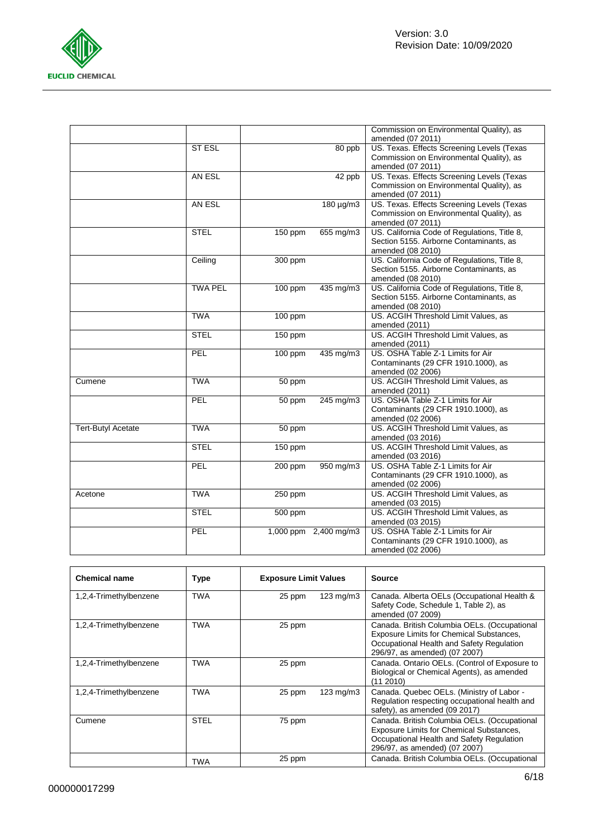

|                           |                |           |                       | Commission on Environmental Quality), as     |
|---------------------------|----------------|-----------|-----------------------|----------------------------------------------|
|                           |                |           |                       | amended (07 2011)                            |
|                           | <b>ST ESL</b>  |           | 80 ppb                | US. Texas. Effects Screening Levels (Texas   |
|                           |                |           |                       | Commission on Environmental Quality), as     |
|                           |                |           |                       | amended (07 2011)                            |
|                           | AN ESL         |           | 42 ppb                | US. Texas. Effects Screening Levels (Texas   |
|                           |                |           |                       | Commission on Environmental Quality), as     |
|                           |                |           |                       | amended (07 2011)                            |
|                           | AN ESL         |           | 180 µg/m3             | US. Texas. Effects Screening Levels (Texas   |
|                           |                |           |                       | Commission on Environmental Quality), as     |
|                           |                |           |                       | amended (07 2011)                            |
|                           | <b>STEL</b>    | 150 ppm   | 655 mg/m3             | US. California Code of Regulations, Title 8, |
|                           |                |           |                       | Section 5155. Airborne Contaminants, as      |
|                           |                |           |                       | amended (08 2010)                            |
|                           | Ceiling        | 300 ppm   |                       | US. California Code of Regulations, Title 8, |
|                           |                |           |                       | Section 5155. Airborne Contaminants, as      |
|                           |                |           |                       | amended (08 2010)                            |
|                           | <b>TWA PEL</b> | 100 ppm   | $435 \text{ mg/m}$ 3  | US. California Code of Regulations, Title 8, |
|                           |                |           |                       | Section 5155. Airborne Contaminants, as      |
|                           |                |           |                       | amended (08 2010)                            |
|                           | <b>TWA</b>     | 100 ppm   |                       | US. ACGIH Threshold Limit Values, as         |
|                           |                |           |                       | amended (2011)                               |
|                           | <b>STEL</b>    | 150 ppm   |                       | US. ACGIH Threshold Limit Values, as         |
|                           |                |           |                       | amended (2011)                               |
|                           | PEL            | $100$ ppm | 435 mg/m3             | US. OSHA Table Z-1 Limits for Air            |
|                           |                |           |                       | Contaminants (29 CFR 1910.1000), as          |
|                           |                |           |                       | amended (02 2006)                            |
| Cumene                    | <b>TWA</b>     | 50 ppm    |                       | US. ACGIH Threshold Limit Values, as         |
|                           |                |           |                       | amended (2011)                               |
|                           | PEL            | 50 ppm    | $245 \text{ mg/m}$ 3  | US. OSHA Table Z-1 Limits for Air            |
|                           |                |           |                       | Contaminants (29 CFR 1910.1000), as          |
|                           |                |           |                       | amended (02 2006)                            |
| <b>Tert-Butyl Acetate</b> | <b>TWA</b>     | 50 ppm    |                       | US. ACGIH Threshold Limit Values, as         |
|                           |                |           |                       | amended (03 2016)                            |
|                           | <b>STEL</b>    | 150 ppm   |                       | US. ACGIH Threshold Limit Values, as         |
|                           |                |           |                       | amended (03 2016)                            |
|                           | PEL            | 200 ppm   | 950 mg/m3             | US. OSHA Table Z-1 Limits for Air            |
|                           |                |           |                       | Contaminants (29 CFR 1910.1000), as          |
|                           |                |           |                       | amended (02 2006)                            |
| Acetone                   | <b>TWA</b>     | 250 ppm   |                       | US. ACGIH Threshold Limit Values, as         |
|                           |                |           |                       | amended (03 2015)                            |
|                           | <b>STEL</b>    | 500 ppm   |                       | US. ACGIH Threshold Limit Values, as         |
|                           |                |           |                       | amended (03 2015)                            |
|                           | PEL            |           | 1,000 ppm 2,400 mg/m3 | US. OSHA Table Z-1 Limits for Air            |
|                           |                |           |                       | Contaminants (29 CFR 1910.1000), as          |
|                           |                |           |                       | amended (02 2006)                            |
|                           |                |           |                       |                                              |

| <b>Chemical name</b>   | <b>Type</b> | <b>Exposure Limit Values</b> |                    | <b>Source</b>                                                                                                                                                          |
|------------------------|-------------|------------------------------|--------------------|------------------------------------------------------------------------------------------------------------------------------------------------------------------------|
| 1,2,4-Trimethylbenzene | <b>TWA</b>  | 25 ppm                       | $123$ mg/m $3$     | Canada. Alberta OELs (Occupational Health &<br>Safety Code, Schedule 1, Table 2), as<br>amended (07 2009)                                                              |
| 1,2,4-Trimethylbenzene | TWA         | 25 ppm                       |                    | Canada. British Columbia OELs. (Occupational<br>Exposure Limits for Chemical Substances,<br>Occupational Health and Safety Regulation<br>296/97, as amended) (07 2007) |
| 1,2,4-Trimethylbenzene | <b>TWA</b>  | 25 ppm                       |                    | Canada. Ontario OELs. (Control of Exposure to<br>Biological or Chemical Agents), as amended<br>(112010)                                                                |
| 1,2,4-Trimethylbenzene | <b>TWA</b>  | 25 ppm                       | $123 \text{ mg/m}$ | Canada. Quebec OELs. (Ministry of Labor -<br>Regulation respecting occupational health and<br>safety), as amended (09 2017)                                            |
| Cumene                 | <b>STEL</b> | 75 ppm                       |                    | Canada. British Columbia OELs. (Occupational<br>Exposure Limits for Chemical Substances,<br>Occupational Health and Safety Regulation<br>296/97, as amended) (07 2007) |
|                        | TWA         | 25 ppm                       |                    | Canada. British Columbia OELs. (Occupational                                                                                                                           |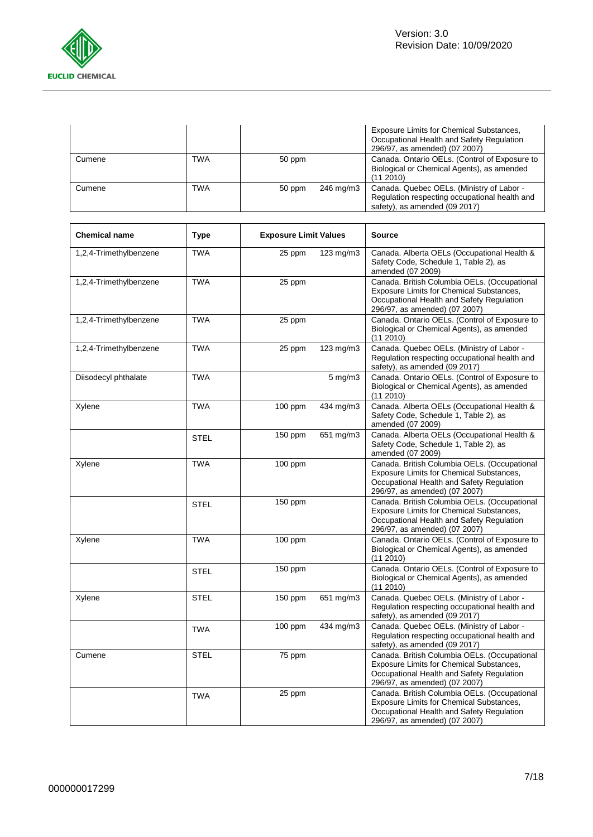

|        |     |        |           | Exposure Limits for Chemical Substances,<br>Occupational Health and Safety Regulation<br>296/97, as amended) (07 2007)      |
|--------|-----|--------|-----------|-----------------------------------------------------------------------------------------------------------------------------|
| Cumene | TWA | 50 ppm |           | Canada. Ontario OELs. (Control of Exposure to<br>Biological or Chemical Agents), as amended<br>(112010)                     |
| Cumene | TWA | 50 ppm | 246 mg/m3 | Canada. Quebec OELs. (Ministry of Labor -<br>Regulation respecting occupational health and<br>safety), as amended (09 2017) |

| <b>Chemical name</b>   | <b>Type</b> | <b>Exposure Limit Values</b> |                  | <b>Source</b>                                                                                                                                                                 |
|------------------------|-------------|------------------------------|------------------|-------------------------------------------------------------------------------------------------------------------------------------------------------------------------------|
| 1,2,4-Trimethylbenzene | <b>TWA</b>  | 25 ppm                       | 123 mg/m3        | Canada. Alberta OELs (Occupational Health &<br>Safety Code, Schedule 1, Table 2), as<br>amended (07 2009)                                                                     |
| 1,2,4-Trimethylbenzene | <b>TWA</b>  | 25 ppm                       |                  | Canada. British Columbia OELs. (Occupational<br>Exposure Limits for Chemical Substances,<br>Occupational Health and Safety Regulation<br>296/97, as amended) (07 2007)        |
| 1,2,4-Trimethylbenzene | <b>TWA</b>  | 25 ppm                       |                  | Canada. Ontario OELs. (Control of Exposure to<br>Biological or Chemical Agents), as amended<br>(11 2010)                                                                      |
| 1,2,4-Trimethylbenzene | <b>TWA</b>  | 25 ppm                       | 123 mg/m3        | Canada. Quebec OELs. (Ministry of Labor -<br>Regulation respecting occupational health and<br>safety), as amended (09 2017)                                                   |
| Diisodecyl phthalate   | <b>TWA</b>  |                              | $5 \text{ mg/m}$ | Canada. Ontario OELs. (Control of Exposure to<br>Biological or Chemical Agents), as amended<br>(11 2010)                                                                      |
| Xylene                 | <b>TWA</b>  | 100 ppm                      | 434 mg/m3        | Canada. Alberta OELs (Occupational Health &<br>Safety Code, Schedule 1, Table 2), as<br>amended (07 2009)                                                                     |
|                        | <b>STEL</b> | 150 ppm                      | 651 mg/m3        | Canada. Alberta OELs (Occupational Health &<br>Safety Code, Schedule 1, Table 2), as<br>amended (07 2009)                                                                     |
| Xylene                 | <b>TWA</b>  | $100$ ppm                    |                  | Canada. British Columbia OELs. (Occupational<br><b>Exposure Limits for Chemical Substances,</b><br>Occupational Health and Safety Regulation<br>296/97, as amended) (07 2007) |
|                        | <b>STEL</b> | 150 ppm                      |                  | Canada. British Columbia OELs. (Occupational<br><b>Exposure Limits for Chemical Substances,</b><br>Occupational Health and Safety Regulation<br>296/97, as amended) (07 2007) |
| Xylene                 | <b>TWA</b>  | $100$ ppm                    |                  | Canada. Ontario OELs. (Control of Exposure to<br>Biological or Chemical Agents), as amended<br>(11 2010)                                                                      |
|                        | <b>STEL</b> | 150 ppm                      |                  | Canada. Ontario OELs. (Control of Exposure to<br>Biological or Chemical Agents), as amended<br>(11 2010)                                                                      |
| Xylene                 | <b>STEL</b> | 150 ppm                      | 651 mg/m3        | Canada. Quebec OELs. (Ministry of Labor -<br>Regulation respecting occupational health and<br>safety), as amended (09 2017)                                                   |
|                        | <b>TWA</b>  | 100 ppm                      | 434 mg/m3        | Canada. Quebec OELs. (Ministry of Labor -<br>Regulation respecting occupational health and<br>safety), as amended (09 2017)                                                   |
| Cumene                 | <b>STEL</b> | 75 ppm                       |                  | Canada. British Columbia OELs. (Occupational<br><b>Exposure Limits for Chemical Substances,</b><br>Occupational Health and Safety Regulation<br>296/97, as amended) (07 2007) |
|                        | <b>TWA</b>  | 25 ppm                       |                  | Canada. British Columbia OELs. (Occupational<br>Exposure Limits for Chemical Substances,<br>Occupational Health and Safety Regulation<br>296/97, as amended) (07 2007)        |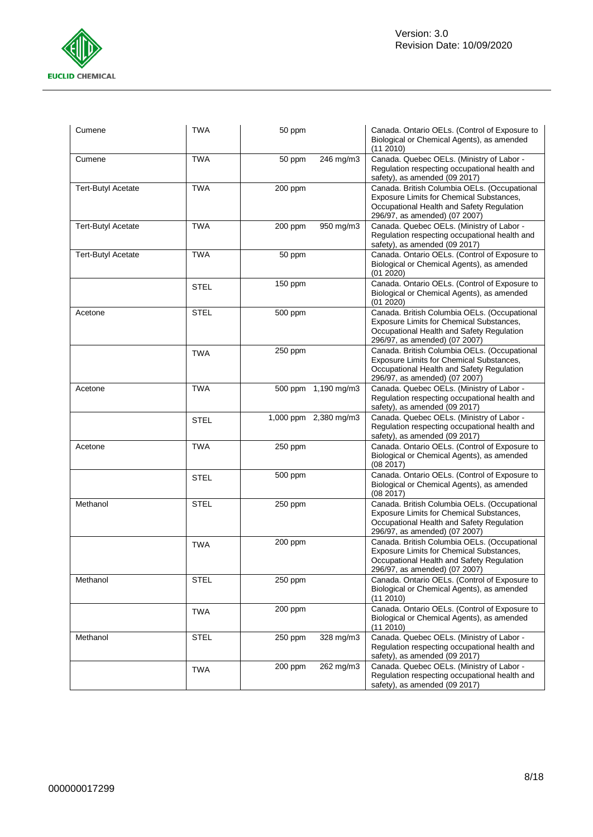

| Cumene                    | <b>TWA</b>  | 50 ppm                | Canada. Ontario OELs. (Control of Exposure to<br>Biological or Chemical Agents), as amended<br>(11 2010)                                                               |
|---------------------------|-------------|-----------------------|------------------------------------------------------------------------------------------------------------------------------------------------------------------------|
| Cumene                    | <b>TWA</b>  | 50 ppm<br>246 mg/m3   | Canada. Quebec OELs. (Ministry of Labor -<br>Regulation respecting occupational health and<br>safety), as amended (09 2017)                                            |
| <b>Tert-Butyl Acetate</b> | <b>TWA</b>  | 200 ppm               | Canada. British Columbia OELs. (Occupational<br>Exposure Limits for Chemical Substances,<br>Occupational Health and Safety Regulation<br>296/97, as amended) (07 2007) |
| <b>Tert-Butyl Acetate</b> | <b>TWA</b>  | 950 mg/m3<br>200 ppm  | Canada. Quebec OELs. (Ministry of Labor -<br>Regulation respecting occupational health and<br>safety), as amended (09 2017)                                            |
| <b>Tert-Butyl Acetate</b> | <b>TWA</b>  | 50 ppm                | Canada. Ontario OELs. (Control of Exposure to<br>Biological or Chemical Agents), as amended<br>(01 2020)                                                               |
|                           | <b>STEL</b> | 150 ppm               | Canada. Ontario OELs. (Control of Exposure to<br>Biological or Chemical Agents), as amended<br>(01 2020)                                                               |
| Acetone                   | <b>STEL</b> | 500 ppm               | Canada. British Columbia OELs. (Occupational<br>Exposure Limits for Chemical Substances,<br>Occupational Health and Safety Regulation<br>296/97, as amended) (07 2007) |
|                           | <b>TWA</b>  | 250 ppm               | Canada. British Columbia OELs. (Occupational<br>Exposure Limits for Chemical Substances,<br>Occupational Health and Safety Regulation<br>296/97, as amended) (07 2007) |
| Acetone                   | <b>TWA</b>  | 500 ppm 1,190 mg/m3   | Canada. Quebec OELs. (Ministry of Labor -<br>Regulation respecting occupational health and<br>safety), as amended (09 2017)                                            |
|                           | <b>STEL</b> | 1,000 ppm 2,380 mg/m3 | Canada. Quebec OELs. (Ministry of Labor -<br>Regulation respecting occupational health and<br>safety), as amended (09 2017)                                            |
| Acetone                   | <b>TWA</b>  | 250 ppm               | Canada. Ontario OELs. (Control of Exposure to<br>Biological or Chemical Agents), as amended<br>(08 2017)                                                               |
|                           | <b>STEL</b> | 500 ppm               | Canada. Ontario OELs. (Control of Exposure to<br>Biological or Chemical Agents), as amended<br>(08 2017)                                                               |
| Methanol                  | <b>STEL</b> | 250 ppm               | Canada. British Columbia OELs. (Occupational<br>Exposure Limits for Chemical Substances,<br>Occupational Health and Safety Regulation<br>296/97, as amended) (07 2007) |
|                           | <b>TWA</b>  | 200 ppm               | Canada. British Columbia OELs. (Occupational<br>Exposure Limits for Chemical Substances,<br>Occupational Health and Safety Regulation<br>296/97, as amended) (07 2007) |
| Methanol                  | <b>STEL</b> | 250 ppm               | Canada. Ontario OELs. (Control of Exposure to<br>Biological or Chemical Agents), as amended<br>(11 2010)                                                               |
|                           | <b>TWA</b>  | 200 ppm               | Canada. Ontario OELs. (Control of Exposure to<br>Biological or Chemical Agents), as amended<br>(11 2010)                                                               |
| Methanol                  | <b>STEL</b> | 328 mg/m3<br>250 ppm  | Canada. Quebec OELs. (Ministry of Labor -<br>Regulation respecting occupational health and<br>safety), as amended (09 2017)                                            |
|                           | <b>TWA</b>  | 200 ppm<br>262 mg/m3  | Canada. Quebec OELs. (Ministry of Labor -<br>Regulation respecting occupational health and<br>safety), as amended (09 2017)                                            |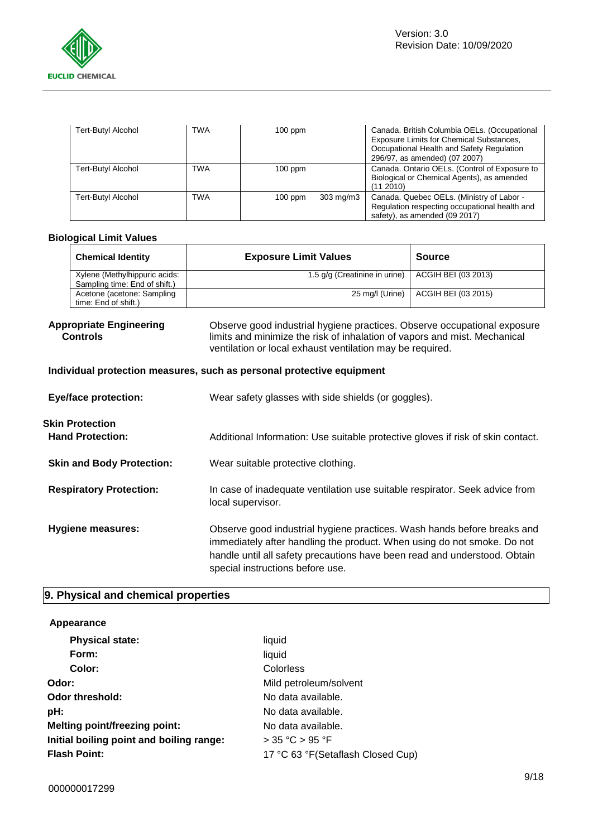

| <b>Tert-Butyl Alcohol</b> | TWA | $100$ ppm |                    | Canada. British Columbia OELs. (Occupational<br>Exposure Limits for Chemical Substances,<br>Occupational Health and Safety Regulation<br>296/97, as amended) (07 2007) |
|---------------------------|-----|-----------|--------------------|------------------------------------------------------------------------------------------------------------------------------------------------------------------------|
| Tert-Butyl Alcohol        | TWA | $100$ ppm |                    | Canada. Ontario OELs. (Control of Exposure to<br>Biological or Chemical Agents), as amended<br>(11 2010)                                                               |
| Tert-Butyl Alcohol        | TWA | $100$ ppm | $303 \text{ mg/m}$ | Canada. Quebec OELs. (Ministry of Labor -<br>Regulation respecting occupational health and<br>safety), as amended (09 2017)                                            |

### **Biological Limit Values**

| <b>Chemical Identity</b>      | <b>Exposure Limit Values</b>  | <b>Source</b>       |
|-------------------------------|-------------------------------|---------------------|
| Xylene (Methylhippuric acids: | 1.5 g/g (Creatinine in urine) | ACGIH BEI (03 2013) |
| Sampling time: End of shift.) |                               |                     |
| Acetone (acetone: Sampling    | 25 mg/l (Urine)               | ACGIH BEI (03 2015) |
| time: End of shift.)          |                               |                     |

### **Appropriate Engineering Controls**

Observe good industrial hygiene practices. Observe occupational exposure limits and minimize the risk of inhalation of vapors and mist. Mechanical ventilation or local exhaust ventilation may be required.

## **Individual protection measures, such as personal protective equipment**

| <b>Eye/face protection:</b>                       | Wear safety glasses with side shields (or goggles).                                                                                                                                                                                                                 |
|---------------------------------------------------|---------------------------------------------------------------------------------------------------------------------------------------------------------------------------------------------------------------------------------------------------------------------|
| <b>Skin Protection</b><br><b>Hand Protection:</b> | Additional Information: Use suitable protective gloves if risk of skin contact.                                                                                                                                                                                     |
| <b>Skin and Body Protection:</b>                  | Wear suitable protective clothing.                                                                                                                                                                                                                                  |
| <b>Respiratory Protection:</b>                    | In case of inadequate ventilation use suitable respirator. Seek advice from<br>local supervisor.                                                                                                                                                                    |
| Hygiene measures:                                 | Observe good industrial hygiene practices. Wash hands before breaks and<br>immediately after handling the product. When using do not smoke. Do not<br>handle until all safety precautions have been read and understood. Obtain<br>special instructions before use. |

# **9. Physical and chemical properties**

### **Appearance**

| <b>Physical state:</b>                   | liquid                            |
|------------------------------------------|-----------------------------------|
| Form:                                    | liquid                            |
| Color:                                   | Colorless                         |
| Odor:                                    | Mild petroleum/solvent            |
| <b>Odor threshold:</b>                   | No data available.                |
| pH:                                      | No data available.                |
| <b>Melting point/freezing point:</b>     | No data available.                |
| Initial boiling point and boiling range: | $>$ 35 °C $>$ 95 °F               |
| <b>Flash Point:</b>                      | 17 °C 63 °F(Setaflash Closed Cup) |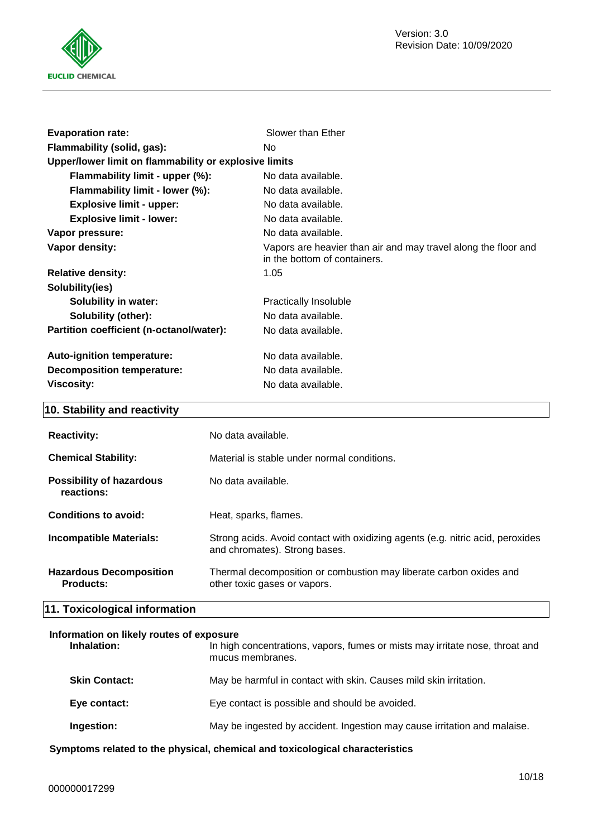

| <b>Evaporation rate:</b>                              | Slower than Ether                                                                              |
|-------------------------------------------------------|------------------------------------------------------------------------------------------------|
| Flammability (solid, gas):                            | No.                                                                                            |
| Upper/lower limit on flammability or explosive limits |                                                                                                |
| Flammability limit - upper (%):                       | No data available.                                                                             |
| Flammability limit - lower (%):                       | No data available.                                                                             |
| <b>Explosive limit - upper:</b>                       | No data available.                                                                             |
| <b>Explosive limit - lower:</b>                       | No data available.                                                                             |
| Vapor pressure:                                       | No data available.                                                                             |
| Vapor density:                                        | Vapors are heavier than air and may travel along the floor and<br>in the bottom of containers. |
| <b>Relative density:</b>                              | 1.05                                                                                           |
| Solubility(ies)                                       |                                                                                                |
| <b>Solubility in water:</b>                           | Practically Insoluble                                                                          |
| <b>Solubility (other):</b>                            | No data available.                                                                             |
| Partition coefficient (n-octanol/water):              | No data available.                                                                             |
| Auto-ignition temperature:                            | No data available.                                                                             |
| <b>Decomposition temperature:</b>                     | No data available.                                                                             |
| Viscosity:                                            | No data available.                                                                             |

# **10. Stability and reactivity**

| <b>Reactivity:</b>                                 | No data available.                                                                                              |
|----------------------------------------------------|-----------------------------------------------------------------------------------------------------------------|
| <b>Chemical Stability:</b>                         | Material is stable under normal conditions.                                                                     |
| <b>Possibility of hazardous</b><br>reactions:      | No data available.                                                                                              |
| Conditions to avoid:                               | Heat, sparks, flames.                                                                                           |
| Incompatible Materials:                            | Strong acids. Avoid contact with oxidizing agents (e.g. nitric acid, peroxides<br>and chromates). Strong bases. |
| <b>Hazardous Decomposition</b><br><b>Products:</b> | Thermal decomposition or combustion may liberate carbon oxides and<br>other toxic gases or vapors.              |

# **11. Toxicological information**

### **Information on likely routes of exposure**

| Inhalation:          | In high concentrations, vapors, fumes or mists may irritate nose, throat and<br>mucus membranes. |
|----------------------|--------------------------------------------------------------------------------------------------|
| <b>Skin Contact:</b> | May be harmful in contact with skin. Causes mild skin irritation.                                |
| Eye contact:         | Eye contact is possible and should be avoided.                                                   |
| Ingestion:           | May be ingested by accident. Ingestion may cause irritation and malaise.                         |
|                      |                                                                                                  |

**Symptoms related to the physical, chemical and toxicological characteristics**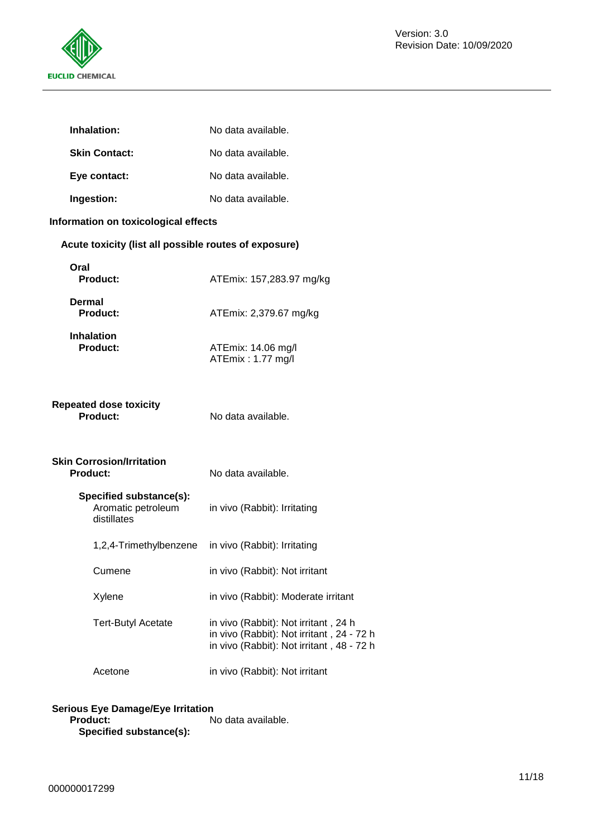

|        | Inhalation:                                                  | No data available.                                                                                                             |
|--------|--------------------------------------------------------------|--------------------------------------------------------------------------------------------------------------------------------|
|        | <b>Skin Contact:</b>                                         | No data available.                                                                                                             |
|        | Eye contact:                                                 | No data available.                                                                                                             |
|        | Ingestion:                                                   | No data available.                                                                                                             |
|        | Information on toxicological effects                         |                                                                                                                                |
|        | Acute toxicity (list all possible routes of exposure)        |                                                                                                                                |
| Oral   | <b>Product:</b>                                              | ATEmix: 157,283.97 mg/kg                                                                                                       |
| Dermal | <b>Product:</b>                                              | ATEmix: 2,379.67 mg/kg                                                                                                         |
|        | <b>Inhalation</b><br>Product:                                | ATEmix: 14.06 mg/l<br>ATEmix: 1.77 mg/l                                                                                        |
|        | <b>Repeated dose toxicity</b><br>Product:                    | No data available.                                                                                                             |
|        | <b>Skin Corrosion/Irritation</b><br><b>Product:</b>          | No data available.                                                                                                             |
|        | Specified substance(s):<br>Aromatic petroleum<br>distillates | in vivo (Rabbit): Irritating                                                                                                   |
|        | 1,2,4-Trimethylbenzene                                       | in vivo (Rabbit): Irritating                                                                                                   |
|        | Cumene                                                       | in vivo (Rabbit): Not irritant                                                                                                 |
|        | Xylene                                                       | in vivo (Rabbit): Moderate irritant                                                                                            |
|        | <b>Tert-Butyl Acetate</b>                                    | in vivo (Rabbit): Not irritant, 24 h<br>in vivo (Rabbit): Not irritant, 24 - 72 h<br>in vivo (Rabbit): Not irritant, 48 - 72 h |
|        | Acetone                                                      | in vivo (Rabbit): Not irritant                                                                                                 |
|        |                                                              |                                                                                                                                |

# **Serious Eye Damage/Eye Irritation**

**Product:** No data available. **Specified substance(s):**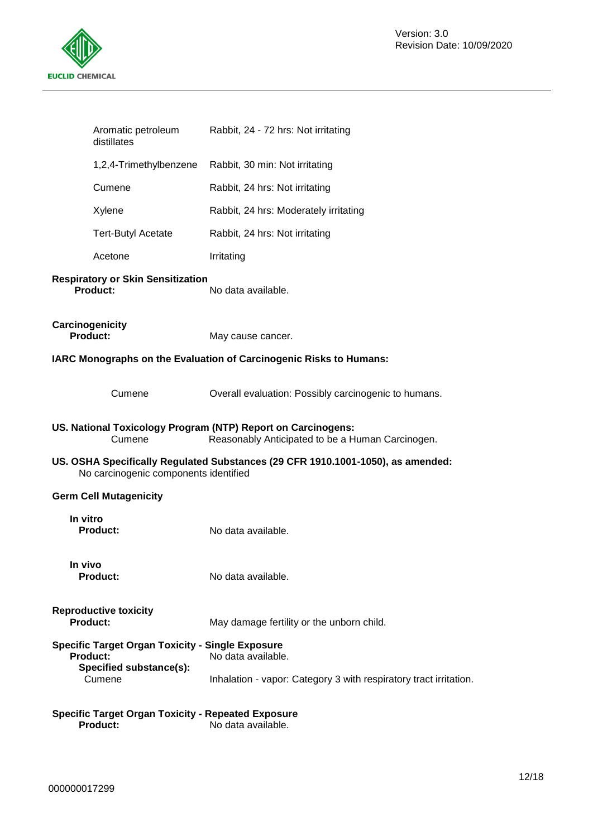

| Aromatic petroleum<br>distillates                                                                     | Rabbit, 24 - 72 hrs: Not irritating                                                                              |
|-------------------------------------------------------------------------------------------------------|------------------------------------------------------------------------------------------------------------------|
| 1,2,4-Trimethylbenzene                                                                                | Rabbit, 30 min: Not irritating                                                                                   |
| Cumene                                                                                                | Rabbit, 24 hrs: Not irritating                                                                                   |
| Xylene                                                                                                | Rabbit, 24 hrs: Moderately irritating                                                                            |
| <b>Tert-Butyl Acetate</b>                                                                             | Rabbit, 24 hrs: Not irritating                                                                                   |
| Acetone                                                                                               | Irritating                                                                                                       |
| <b>Respiratory or Skin Sensitization</b><br><b>Product:</b>                                           | No data available.                                                                                               |
| Carcinogenicity<br><b>Product:</b>                                                                    | May cause cancer.                                                                                                |
|                                                                                                       | IARC Monographs on the Evaluation of Carcinogenic Risks to Humans:                                               |
| Cumene                                                                                                | Overall evaluation: Possibly carcinogenic to humans.                                                             |
| Cumene                                                                                                | US. National Toxicology Program (NTP) Report on Carcinogens:<br>Reasonably Anticipated to be a Human Carcinogen. |
| No carcinogenic components identified                                                                 | US. OSHA Specifically Regulated Substances (29 CFR 1910.1001-1050), as amended:                                  |
| <b>Germ Cell Mutagenicity</b>                                                                         |                                                                                                                  |
| In vitro<br><b>Product:</b>                                                                           | No data available.                                                                                               |
| In vivo<br><b>Product:</b>                                                                            | No data available.                                                                                               |
| <b>Reproductive toxicity</b><br><b>Product:</b>                                                       | May damage fertility or the unborn child.                                                                        |
| <b>Specific Target Organ Toxicity - Single Exposure</b><br><b>Product:</b><br>Specified substance(s): | No data available.                                                                                               |
| Cumene                                                                                                | Inhalation - vapor: Category 3 with respiratory tract irritation.                                                |
| <b>Specific Target Organ Toxicity - Repeated Exposure</b><br><b>Product:</b>                          | No data available.                                                                                               |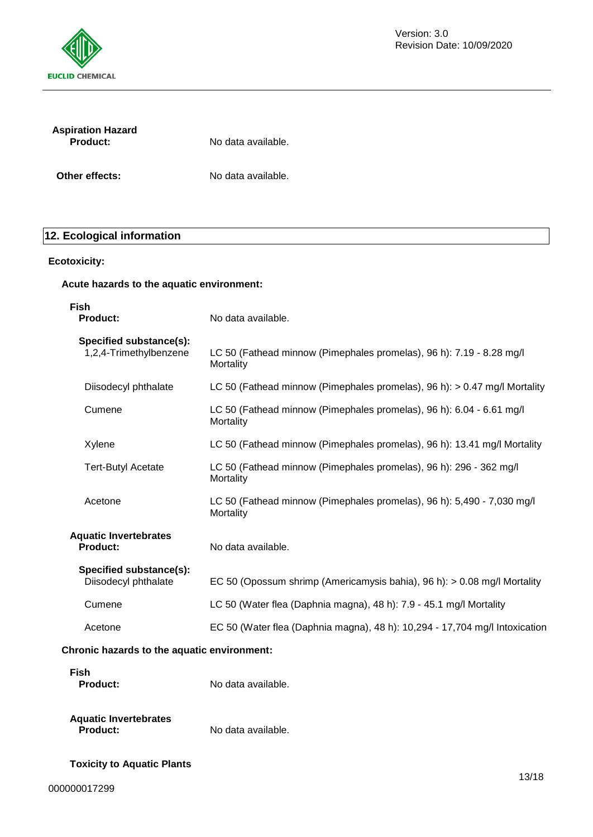

| <b>Aspiration Hazard</b><br><b>Product:</b> | No data available. |  |
|---------------------------------------------|--------------------|--|
| Other effects:                              | No data available. |  |

# **12. Ecological information**

# **Ecotoxicity:**

### **Acute hazards to the aquatic environment:**

| <b>Fish</b><br><b>Product:</b>                    | No data available.                                                                  |
|---------------------------------------------------|-------------------------------------------------------------------------------------|
| Specified substance(s):<br>1,2,4-Trimethylbenzene | LC 50 (Fathead minnow (Pimephales promelas), 96 h): 7.19 - 8.28 mg/l<br>Mortality   |
| Diisodecyl phthalate                              | LC 50 (Fathead minnow (Pimephales promelas), 96 h): > 0.47 mg/l Mortality           |
| Cumene                                            | LC 50 (Fathead minnow (Pimephales promelas), 96 h): 6.04 - 6.61 mg/l<br>Mortality   |
| Xylene                                            | LC 50 (Fathead minnow (Pimephales promelas), 96 h): 13.41 mg/l Mortality            |
| <b>Tert-Butyl Acetate</b>                         | LC 50 (Fathead minnow (Pimephales promelas), 96 h): 296 - 362 mg/l<br>Mortality     |
| Acetone                                           | LC 50 (Fathead minnow (Pimephales promelas), 96 h): 5,490 - 7,030 mg/l<br>Mortality |
| <b>Aquatic Invertebrates</b><br>Product:          | No data available.                                                                  |
| Specified substance(s):<br>Diisodecyl phthalate   | EC 50 (Opossum shrimp (Americamysis bahia), 96 h): > 0.08 mg/l Mortality            |
| Cumene                                            | LC 50 (Water flea (Daphnia magna), 48 h): 7.9 - 45.1 mg/l Mortality                 |
| Acetone                                           | EC 50 (Water flea (Daphnia magna), 48 h): 10,294 - 17,704 mg/l Intoxication         |
| Chronic hazards to the aquatic environment:       |                                                                                     |
| <b>Fish</b><br><b>Product:</b>                    | No data available.                                                                  |

# **Aquatic Invertebrates**

No data available.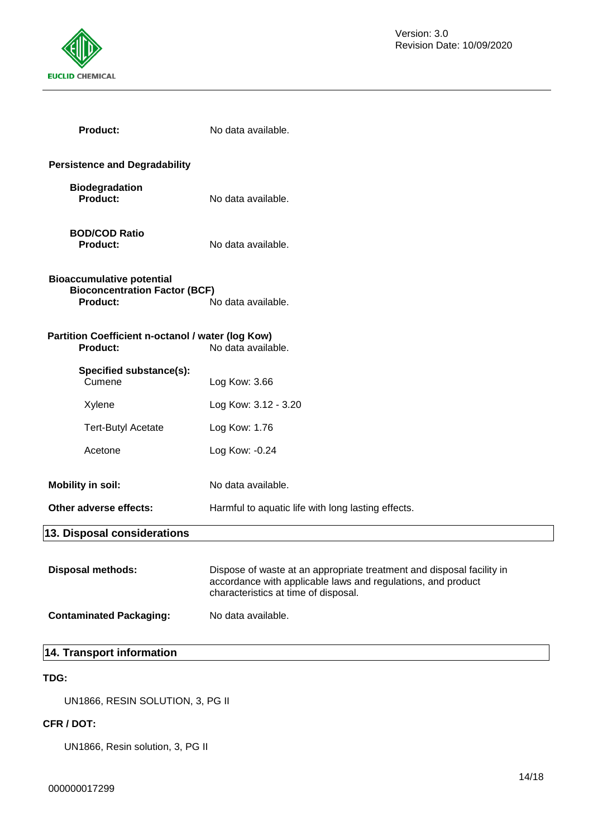

| <b>Product:</b>                                                                             | No data available.                                                                                                                                                            |
|---------------------------------------------------------------------------------------------|-------------------------------------------------------------------------------------------------------------------------------------------------------------------------------|
| <b>Persistence and Degradability</b>                                                        |                                                                                                                                                                               |
| <b>Biodegradation</b><br><b>Product:</b>                                                    | No data available.                                                                                                                                                            |
| <b>BOD/COD Ratio</b><br>Product:                                                            | No data available.                                                                                                                                                            |
| <b>Bioaccumulative potential</b><br><b>Bioconcentration Factor (BCF)</b><br><b>Product:</b> | No data available.                                                                                                                                                            |
| Partition Coefficient n-octanol / water (log Kow)<br><b>Product:</b>                        | No data available.                                                                                                                                                            |
| Specified substance(s):<br>Cumene                                                           | Log Kow: 3.66                                                                                                                                                                 |
| Xylene                                                                                      | Log Kow: 3.12 - 3.20                                                                                                                                                          |
| <b>Tert-Butyl Acetate</b>                                                                   | Log Kow: 1.76                                                                                                                                                                 |
| Acetone                                                                                     | Log Kow: -0.24                                                                                                                                                                |
| <b>Mobility in soil:</b>                                                                    | No data available.                                                                                                                                                            |
| Other adverse effects:                                                                      | Harmful to aquatic life with long lasting effects.                                                                                                                            |
| 13. Disposal considerations                                                                 |                                                                                                                                                                               |
| <b>Disposal methods:</b>                                                                    | Dispose of waste at an appropriate treatment and disposal facility in<br>accordance with applicable laws and regulations, and product<br>characteristics at time of disposal. |
| <b>Contaminated Packaging:</b>                                                              | No data available.                                                                                                                                                            |
| 14. Transport information                                                                   |                                                                                                                                                                               |

# **TDG:**

UN1866, RESIN SOLUTION, 3, PG II

# **CFR / DOT:**

UN1866, Resin solution, 3, PG II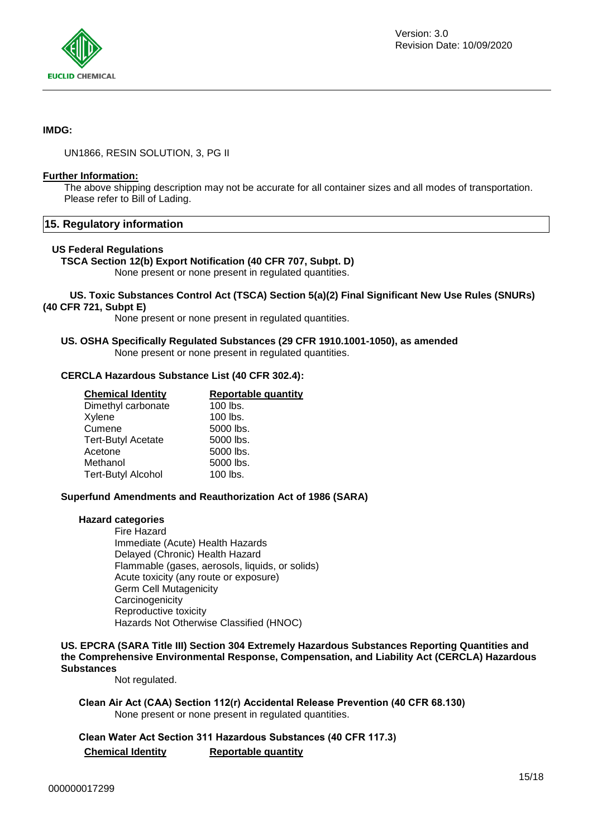

### **IMDG:**

UN1866, RESIN SOLUTION, 3, PG II

### **Further Information:**

The above shipping description may not be accurate for all container sizes and all modes of transportation. Please refer to Bill of Lading.

### **15. Regulatory information**

### **US Federal Regulations**

**TSCA Section 12(b) Export Notification (40 CFR 707, Subpt. D)**

None present or none present in regulated quantities.

### **US. Toxic Substances Control Act (TSCA) Section 5(a)(2) Final Significant New Use Rules (SNURs) (40 CFR 721, Subpt E)**

None present or none present in regulated quantities.

### **US. OSHA Specifically Regulated Substances (29 CFR 1910.1001-1050), as amended** None present or none present in regulated quantities.

### **CERCLA Hazardous Substance List (40 CFR 302.4):**

| <b>Chemical Identity</b>  | <b>Reportable quantity</b> |  |
|---------------------------|----------------------------|--|
| Dimethyl carbonate        | $100$ lbs.                 |  |
| Xylene                    | $100$ lbs.                 |  |
| Cumene                    | 5000 lbs.                  |  |
| <b>Tert-Butyl Acetate</b> | 5000 lbs.                  |  |
| Acetone                   | 5000 lbs.                  |  |
| Methanol                  | 5000 lbs.                  |  |
| <b>Tert-Butyl Alcohol</b> | 100 lbs.                   |  |
|                           |                            |  |

### **Superfund Amendments and Reauthorization Act of 1986 (SARA)**

### **Hazard categories**

Fire Hazard Immediate (Acute) Health Hazards Delayed (Chronic) Health Hazard Flammable (gases, aerosols, liquids, or solids) Acute toxicity (any route or exposure) Germ Cell Mutagenicity **Carcinogenicity** Reproductive toxicity Hazards Not Otherwise Classified (HNOC)

### **US. EPCRA (SARA Title III) Section 304 Extremely Hazardous Substances Reporting Quantities and the Comprehensive Environmental Response, Compensation, and Liability Act (CERCLA) Hazardous Substances**

Not regulated.

**Clean Air Act (CAA) Section 112(r) Accidental Release Prevention (40 CFR 68.130)** None present or none present in regulated quantities.

**Clean Water Act Section 311 Hazardous Substances (40 CFR 117.3) Chemical Identity Reportable quantity**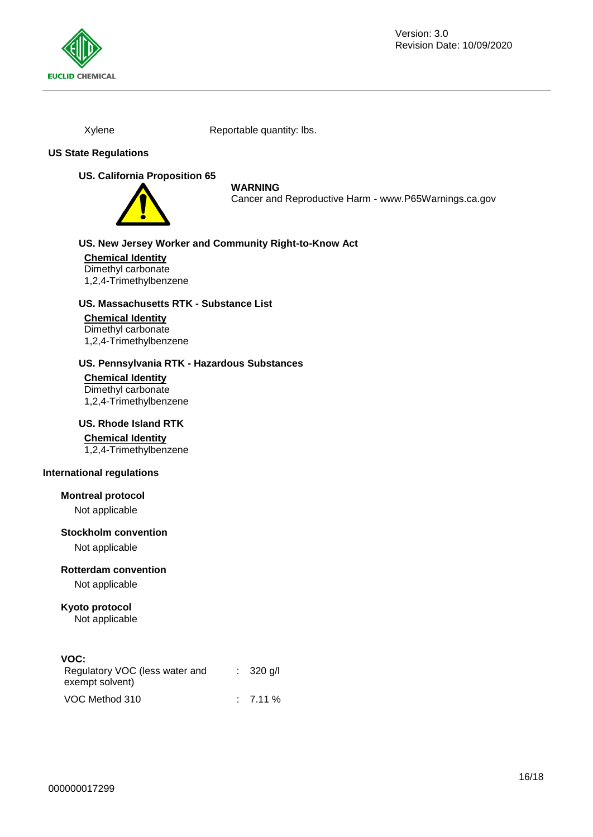

Xylene Reportable quantity: lbs.

### **US State Regulations**

### **US. California Proposition 65**



### **WARNING**

Cancer and Reproductive Harm - www.P65Warnings.ca.gov

# **US. New Jersey Worker and Community Right-to-Know Act**

**Chemical Identity** Dimethyl carbonate 1,2,4-Trimethylbenzene

### **US. Massachusetts RTK - Substance List**

### **Chemical Identity**

Dimethyl carbonate 1,2,4-Trimethylbenzene

### **US. Pennsylvania RTK - Hazardous Substances**

**Chemical Identity** Dimethyl carbonate 1,2,4-Trimethylbenzene

### **US. Rhode Island RTK**

### **Chemical Identity**

1,2,4-Trimethylbenzene

### **International regulations**

### **Montreal protocol**

Not applicable

### **Stockholm convention**

Not applicable

### **Rotterdam convention**

Not applicable

### **Kyoto protocol** Not applicable

## **VOC:**

| Regulatory VOC (less water and<br>exempt solvent) | $\therefore$ 320 g/l |
|---------------------------------------------------|----------------------|
| VOC Method 310                                    | $: 7.11\%$           |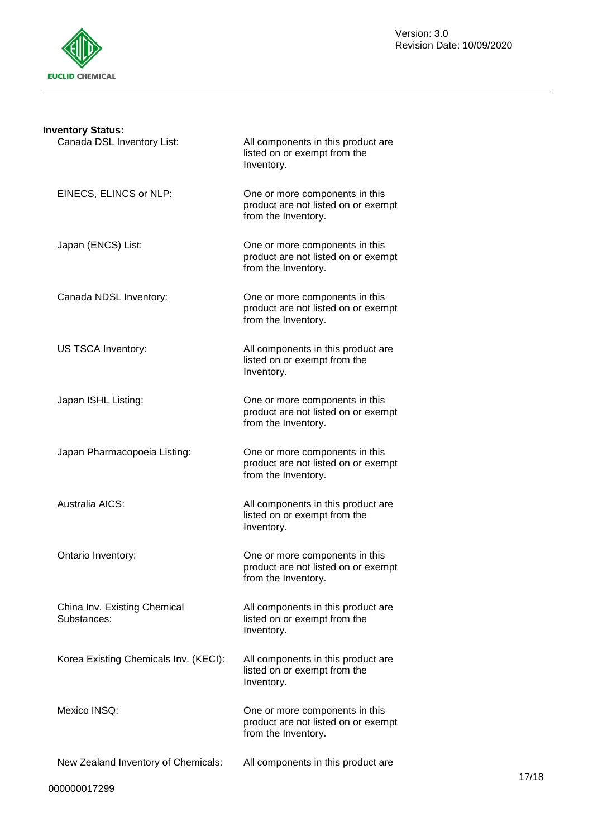

| <b>Inventory Status:</b>                    |                                                                                              |
|---------------------------------------------|----------------------------------------------------------------------------------------------|
| Canada DSL Inventory List:                  | All components in this product are<br>listed on or exempt from the<br>Inventory.             |
| EINECS, ELINCS or NLP:                      | One or more components in this<br>product are not listed on or exempt<br>from the Inventory. |
| Japan (ENCS) List:                          | One or more components in this<br>product are not listed on or exempt<br>from the Inventory. |
| Canada NDSL Inventory:                      | One or more components in this<br>product are not listed on or exempt<br>from the Inventory. |
| US TSCA Inventory:                          | All components in this product are<br>listed on or exempt from the<br>Inventory.             |
| Japan ISHL Listing:                         | One or more components in this<br>product are not listed on or exempt<br>from the Inventory. |
| Japan Pharmacopoeia Listing:                | One or more components in this<br>product are not listed on or exempt<br>from the Inventory. |
| Australia AICS:                             | All components in this product are<br>listed on or exempt from the<br>Inventory.             |
| Ontario Inventory:                          | One or more components in this<br>product are not listed on or exempt<br>from the Inventory. |
| China Inv. Existing Chemical<br>Substances: | All components in this product are<br>listed on or exempt from the<br>Inventory.             |
| Korea Existing Chemicals Inv. (KECI):       | All components in this product are<br>listed on or exempt from the<br>Inventory.             |
| Mexico INSQ:                                | One or more components in this<br>product are not listed on or exempt<br>from the Inventory. |
| New Zealand Inventory of Chemicals:         | All components in this product are                                                           |